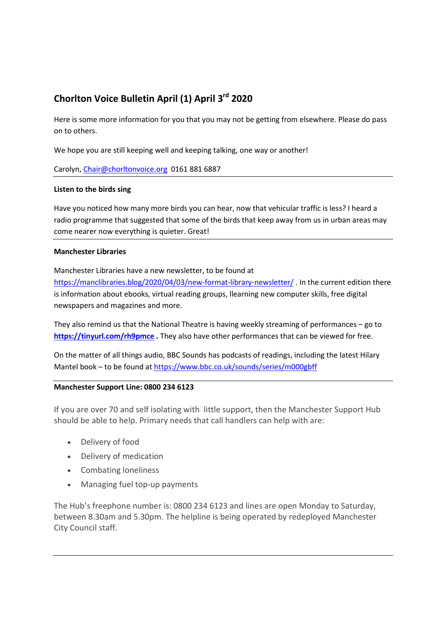# Chorlton Voice Bulletin April (1) April 3rd 2020

Here is some more information for you that you may not be getting from elsewhere. Please do pass on to others.

We hope you are still keeping well and keeping talking, one way or another!

## Carolyn, Chair@chorltonvoice.org 0161 881 6887

## Listen to the birds sing

Have you noticed how many more birds you can hear, now that vehicular traffic is less? I heard a radio programme that suggested that some of the birds that keep away from us in urban areas may come nearer now everything is quieter. Great!

## Manchester Libraries

Manchester Libraries have a new newsletter, to be found at

https://manclibraries.blog/2020/04/03/new-format-library-newsletter/ . In the current edition there is information about ebooks, virtual reading groups, llearning new computer skills, free digital newspapers and magazines and more.

They also remind us that the National Theatre is having weekly streaming of performances – go to https://tinyurl.com/rh9pmce. They also have other performances that can be viewed for free.

On the matter of all things audio, BBC Sounds has podcasts of readings, including the latest Hilary Mantel book – to be found at https://www.bbc.co.uk/sounds/series/m000gbff

# Manchester Support Line: 0800 234 6123

If you are over 70 and self isolating with little support, then the Manchester Support Hub should be able to help. Primary needs that call handlers can help with are:

- Delivery of food
- Delivery of medication
- Combating loneliness
- Managing fuel top-up payments

The Hub's freephone number is: 0800 234 6123 and lines are open Monday to Saturday, between 8.30am and 5.30pm. The helpline is being operated by redeployed Manchester City Council staff.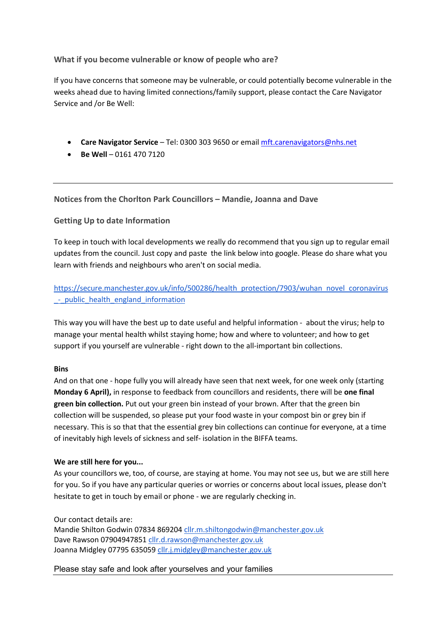# What if you become vulnerable or know of people who are?

If you have concerns that someone may be vulnerable, or could potentially become vulnerable in the weeks ahead due to having limited connections/family support, please contact the Care Navigator Service and /or Be Well:

- Care Navigator Service Tel: 0300 303 9650 or email mft.carenavigators@nhs.net
- $\bullet$  Be Well 0161 470 7120

Notices from the Chorlton Park Councillors – Mandie, Joanna and Dave

# Getting Up to date Information

To keep in touch with local developments we really do recommend that you sign up to regular email updates from the council. Just copy and paste the link below into google. Please do share what you learn with friends and neighbours who aren't on social media.

https://secure.manchester.gov.uk/info/500286/health\_protection/7903/wuhan\_novel\_coronavirus - public health england information

This way you will have the best up to date useful and helpful information - about the virus; help to manage your mental health whilst staying home; how and where to volunteer; and how to get support if you yourself are vulnerable - right down to the all-important bin collections.

# Bins

And on that one - hope fully you will already have seen that next week, for one week only (starting Monday 6 April), in response to feedback from councillors and residents, there will be one final green bin collection. Put out your green bin instead of your brown. After that the green bin collection will be suspended, so please put your food waste in your compost bin or grey bin if necessary. This is so that that the essential grey bin collections can continue for everyone, at a time of inevitably high levels of sickness and self- isolation in the BIFFA teams.

# We are still here for you...

As your councillors we, too, of course, are staying at home. You may not see us, but we are still here for you. So if you have any particular queries or worries or concerns about local issues, please don't hesitate to get in touch by email or phone - we are regularly checking in.

Our contact details are:

Mandie Shilton Godwin 07834 869204 cllr.m.shiltongodwin@manchester.gov.uk Dave Rawson 07904947851 cllr.d.rawson@manchester.gov.uk Joanna Midgley 07795 635059 cllr.j.midgley@manchester.gov.uk

Please stay safe and look after yourselves and your families